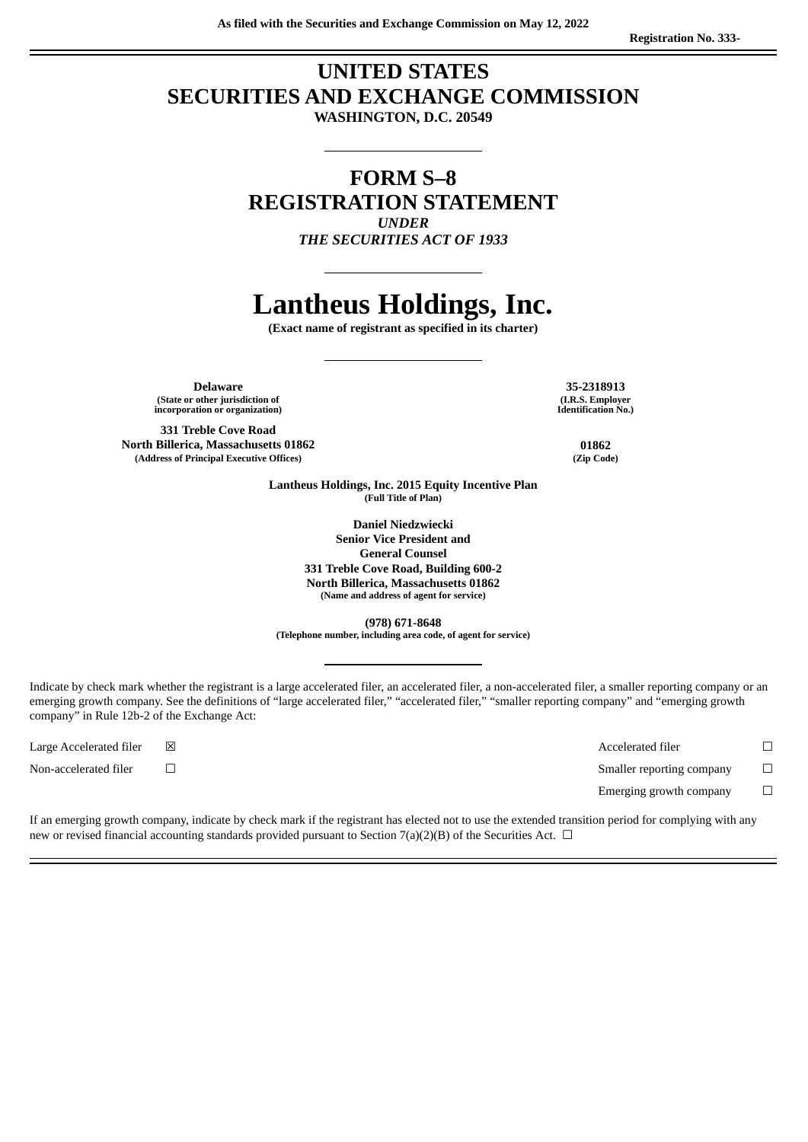## **UNITED STATES SECURITIES AND EXCHANGE COMMISSION**

**WASHINGTON, D.C. 20549**

### **FORM S–8 REGISTRATION STATEMENT** *UNDER THE SECURITIES ACT OF 1933*

# **Lantheus Holdings, Inc.**

**(Exact name of registrant as specified in its charter)**

**Delaware 35-2318913 (State or other jurisdiction of incorporation or organization)**

**331 Treble Cove Road North Billerica, Massachusetts 01862 01862 (Address of Principal Executive Offices) (Zip Code)**

**(I.R.S. Employer Identification No.)**

**Lantheus Holdings, Inc. 2015 Equity Incentive Plan (Full Title of Plan)**

> **Daniel Niedzwiecki Senior Vice President and General Counsel 331 Treble Cove Road, Building 600-2 North Billerica, Massachusetts 01862 (Name and address of agent for service)**

**(978) 671-8648 (Telephone number, including area code, of agent for service)**

Indicate by check mark whether the registrant is a large accelerated filer, an accelerated filer, a non-accelerated filer, a smaller reporting company or an emerging growth company. See the definitions of "large accelerated filer," "accelerated filer," "smaller reporting company" and "emerging growth company" in Rule 12b-2 of the Exchange Act:

Large Accelerated filer ☒ Accelerated filer ☐ Non-accelerated filer ☐ Smaller reporting company ☐ Emerging growth company  $\Box$ 

If an emerging growth company, indicate by check mark if the registrant has elected not to use the extended transition period for complying with any new or revised financial accounting standards provided pursuant to Section 7(a)(2)(B) of the Securities Act.  $\Box$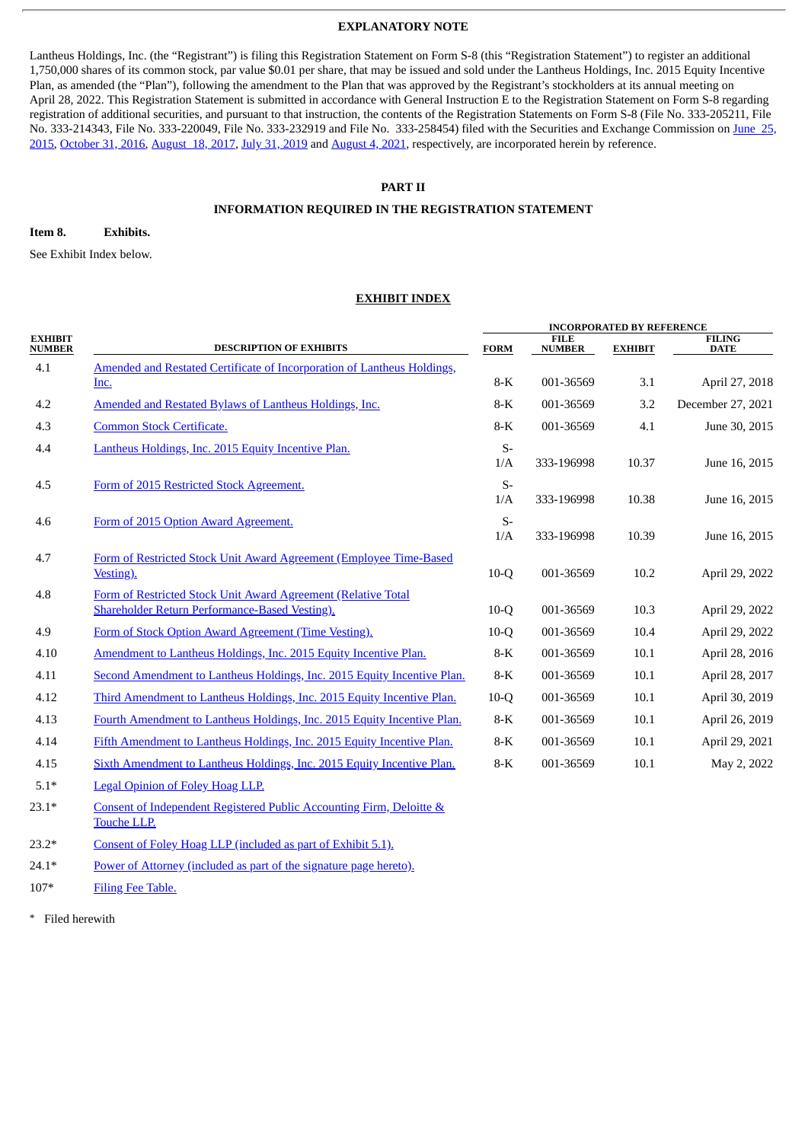#### **EXPLANATORY NOTE**

Lantheus Holdings, Inc. (the "Registrant") is filing this Registration Statement on Form S-8 (this "Registration Statement") to register an additional 1,750,000 shares of its common stock, par value \$0.01 per share, that may be issued and sold under the Lantheus Holdings, Inc. 2015 Equity Incentive Plan, as amended (the "Plan"), following the amendment to the Plan that was approved by the Registrant's stockholders at its annual meeting on April 28, 2022. This Registration Statement is submitted in accordance with General Instruction E to the Registration Statement on Form S-8 regarding registration of additional securities, and pursuant to that instruction, the contents of the Registration Statements on Form S-8 (File No. 333-205211, File No. 333-214343, File No. 333-220049, File No. 333-232919 and File No. [333-258454\)](http://www.sec.gov/Archives/edgar/data/1521036/000119312515233801/d946596ds8.htm) filed with the Securities and Exchange Commission on June 25, 2015, [October](http://www.sec.gov/Archives/edgar/data/1521036/000119312516753495/d124645ds8.htm) 31, 2016, [August](http://www.sec.gov/Archives/edgar/data/1521036/000119312517262221/d434102ds8.htm) 18, 2017, July 31, [2019](http://www.sec.gov/Archives/edgar/data/1521036/000119312519208748/d747381ds8.htm) and [August](http://www.sec.gov/Archives/edgar/data/1521036/000119312521236337/d213751ds8.htm) 4, 2021, respectively, are incorporated herein by reference.

#### **PART II**

#### **INFORMATION REQUIRED IN THE REGISTRATION STATEMENT**

#### **Item 8. Exhibits.**

See Exhibit Index below.

#### **EXHIBIT INDEX**

|                                 |                                                                                                                 |             | <b>INCORPORATED BY REFERENCE</b> |                |                              |  |  |
|---------------------------------|-----------------------------------------------------------------------------------------------------------------|-------------|----------------------------------|----------------|------------------------------|--|--|
| <b>EXHIBIT</b><br><b>NUMBER</b> | <b>DESCRIPTION OF EXHIBITS</b>                                                                                  | <b>FORM</b> | <b>FILE</b><br><b>NUMBER</b>     | <b>EXHIBIT</b> | <b>FILING</b><br><b>DATE</b> |  |  |
| 4.1                             | Amended and Restated Certificate of Incorporation of Lantheus Holdings,                                         |             |                                  |                |                              |  |  |
|                                 | Inc.                                                                                                            | $8-K$       | 001-36569                        | 3.1            | April 27, 2018               |  |  |
| 4.2                             | Amended and Restated Bylaws of Lantheus Holdings, Inc.                                                          | 8-K         | 001-36569                        | 3.2            | December 27, 2021            |  |  |
| 4.3                             | <b>Common Stock Certificate.</b>                                                                                | $8-K$       | 001-36569                        | 4.1            | June 30, 2015                |  |  |
| 4.4                             | Lantheus Holdings, Inc. 2015 Equity Incentive Plan.                                                             | $S-$<br>1/A | 333-196998                       | 10.37          | June 16, 2015                |  |  |
| 4.5                             | Form of 2015 Restricted Stock Agreement.                                                                        | $S-$<br>1/A | 333-196998                       | 10.38          | June 16, 2015                |  |  |
| 4.6                             | Form of 2015 Option Award Agreement.                                                                            | $S-$<br>1/A | 333-196998                       | 10.39          | June 16, 2015                |  |  |
| 4.7                             | Form of Restricted Stock Unit Award Agreement (Employee Time-Based<br>Vesting).                                 | $10-Q$      | 001-36569                        | 10.2           | April 29, 2022               |  |  |
| 4.8                             | Form of Restricted Stock Unit Award Agreement (Relative Total<br>Shareholder Return Performance-Based Vesting). | $10-Q$      | 001-36569                        | 10.3           | April 29, 2022               |  |  |
| 4.9                             | Form of Stock Option Award Agreement (Time Vesting).                                                            | $10-Q$      | 001-36569                        | 10.4           | April 29, 2022               |  |  |
| 4.10                            | Amendment to Lantheus Holdings, Inc. 2015 Equity Incentive Plan.                                                | $8-K$       | 001-36569                        | 10.1           | April 28, 2016               |  |  |
| 4.11                            | Second Amendment to Lantheus Holdings, Inc. 2015 Equity Incentive Plan.                                         | $8-K$       | 001-36569                        | 10.1           | April 28, 2017               |  |  |
| 4.12                            | Third Amendment to Lantheus Holdings, Inc. 2015 Equity Incentive Plan.                                          | $10-Q$      | 001-36569                        | 10.1           | April 30, 2019               |  |  |
| 4.13                            | Fourth Amendment to Lantheus Holdings, Inc. 2015 Equity Incentive Plan.                                         | 8-K         | 001-36569                        | 10.1           | April 26, 2019               |  |  |
| 4.14                            | Fifth Amendment to Lantheus Holdings, Inc. 2015 Equity Incentive Plan.                                          | 8-K         | 001-36569                        | 10.1           | April 29, 2021               |  |  |
| 4.15                            | Sixth Amendment to Lantheus Holdings, Inc. 2015 Equity Incentive Plan.                                          | $8-K$       | 001-36569                        | 10.1           | May 2, 2022                  |  |  |
| $5.1*$                          | <b>Legal Opinion of Foley Hoag LLP.</b>                                                                         |             |                                  |                |                              |  |  |

23.1\* Consent of [Independent](#page-5-0) Registered Public Accounting Firm, Deloitte & Touche LLP.

23.2\* Consent of Foley Hoag LLP [\(included](#page-3-0) as part of Exhibit 5.1).

24.1\* Power of Attorney [\(included](#page-2-0) as part of the signature page hereto).

107\* Filing Fee [Table.](#page-6-0)

\* Filed herewith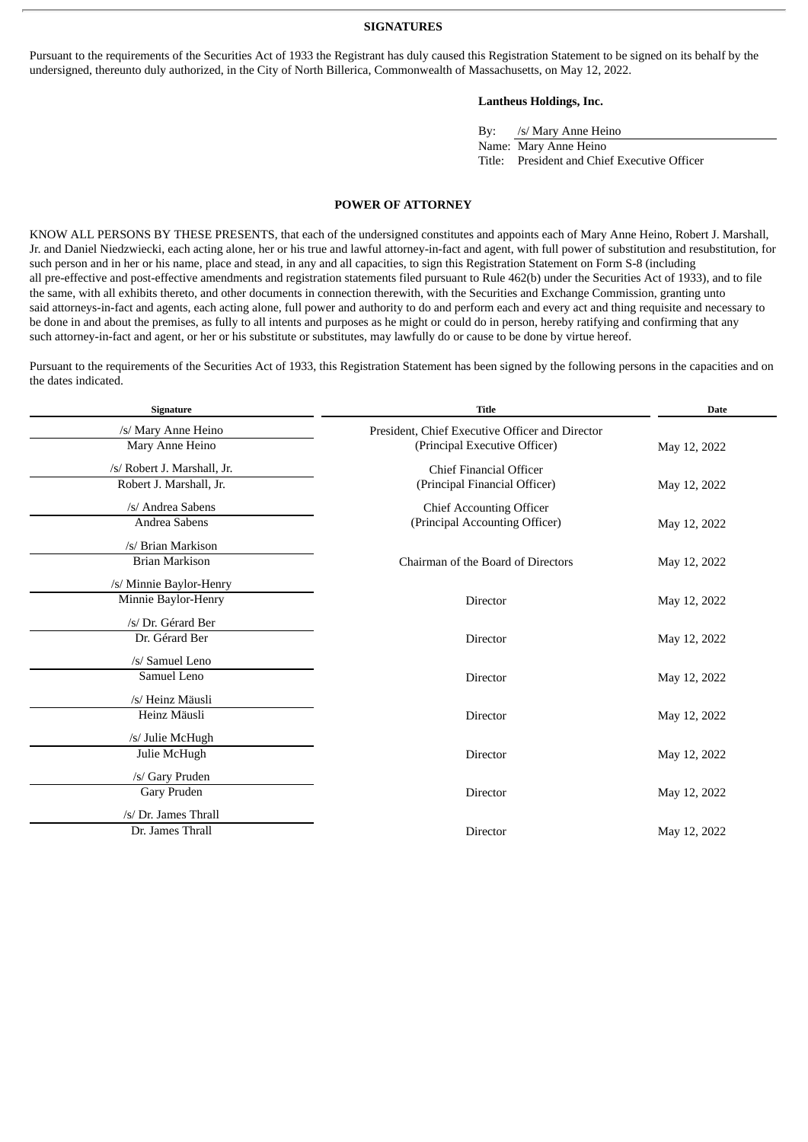**SIGNATURES**

<span id="page-2-0"></span>Pursuant to the requirements of the Securities Act of 1933 the Registrant has duly caused this Registration Statement to be signed on its behalf by the undersigned, thereunto duly authorized, in the City of North Billerica, Commonwealth of Massachusetts, on May 12, 2022.

#### **Lantheus Holdings, Inc.**

| Bv: | /s/ Mary Anne Heino                          |
|-----|----------------------------------------------|
|     | Name: Mary Anne Heino                        |
|     | Title: President and Chief Executive Officer |

#### **POWER OF ATTORNEY**

KNOW ALL PERSONS BY THESE PRESENTS, that each of the undersigned constitutes and appoints each of Mary Anne Heino, Robert J. Marshall, Jr. and Daniel Niedzwiecki, each acting alone, her or his true and lawful attorney-in-fact and agent, with full power of substitution and resubstitution, for such person and in her or his name, place and stead, in any and all capacities, to sign this Registration Statement on Form S-8 (including all pre-effective and post-effective amendments and registration statements filed pursuant to Rule 462(b) under the Securities Act of 1933), and to file the same, with all exhibits thereto, and other documents in connection therewith, with the Securities and Exchange Commission, granting unto said attorneys-in-fact and agents, each acting alone, full power and authority to do and perform each and every act and thing requisite and necessary to be done in and about the premises, as fully to all intents and purposes as he might or could do in person, hereby ratifying and confirming that any such attorney-in-fact and agent, or her or his substitute or substitutes, may lawfully do or cause to be done by virtue hereof.

Pursuant to the requirements of the Securities Act of 1933, this Registration Statement has been signed by the following persons in the capacities and on the dates indicated.

| <b>Signature</b>                                       | <b>Title</b>                                                                     | <b>Date</b>  |  |
|--------------------------------------------------------|----------------------------------------------------------------------------------|--------------|--|
| /s/ Mary Anne Heino<br>Mary Anne Heino                 | President, Chief Executive Officer and Director<br>(Principal Executive Officer) | May 12, 2022 |  |
| /s/ Robert J. Marshall, Jr.<br>Robert J. Marshall, Jr. | Chief Financial Officer<br>(Principal Financial Officer)                         | May 12, 2022 |  |
| /s/ Andrea Sabens<br>Andrea Sabens                     | <b>Chief Accounting Officer</b><br>(Principal Accounting Officer)                | May 12, 2022 |  |
| /s/ Brian Markison<br><b>Brian Markison</b>            | Chairman of the Board of Directors                                               | May 12, 2022 |  |
| /s/ Minnie Baylor-Henry<br>Minnie Baylor-Henry         | Director                                                                         | May 12, 2022 |  |
| /s/ Dr. Gérard Ber<br>Dr. Gérard Ber                   | <b>Director</b>                                                                  | May 12, 2022 |  |
| /s/ Samuel Leno<br>Samuel Leno                         | Director                                                                         | May 12, 2022 |  |
| /s/ Heinz Mäusli<br>Heinz Mäusli                       | <b>Director</b>                                                                  | May 12, 2022 |  |
| /s/ Julie McHugh<br>Julie McHugh                       | Director                                                                         | May 12, 2022 |  |
| /s/ Gary Pruden<br>Gary Pruden                         | Director                                                                         | May 12, 2022 |  |
| /s/ Dr. James Thrall<br>Dr. James Thrall               | <b>Director</b>                                                                  | May 12, 2022 |  |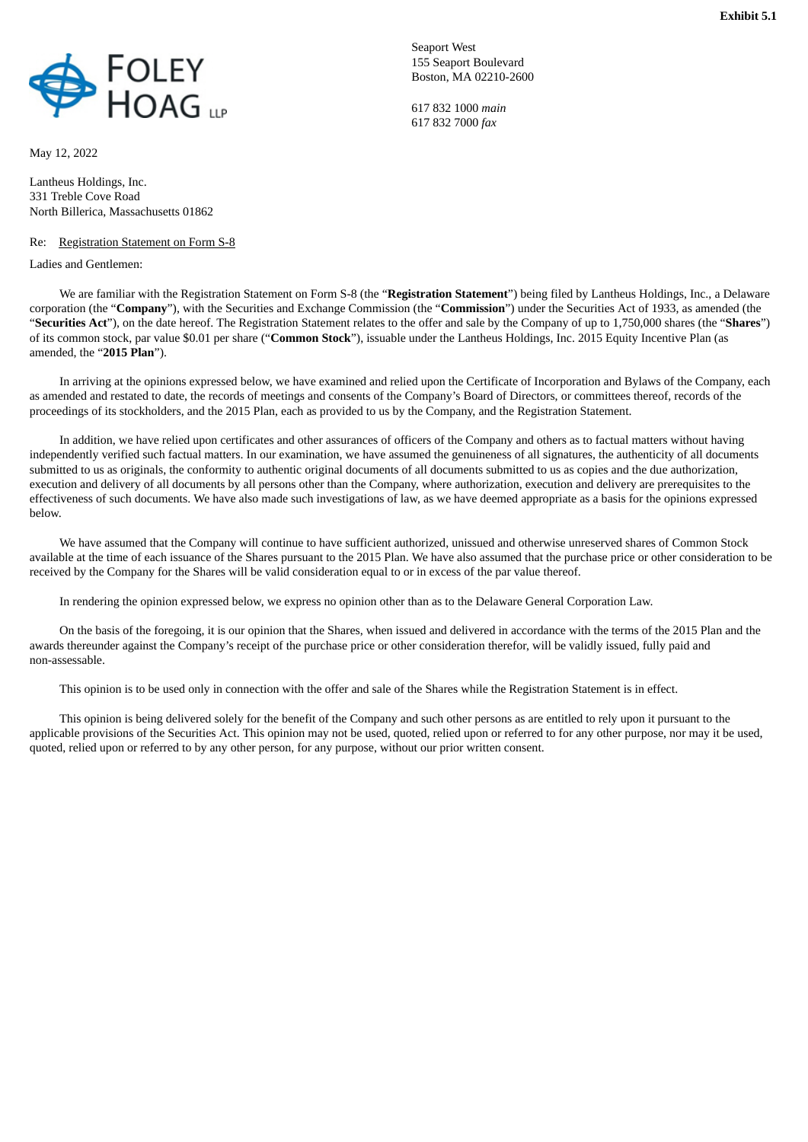<span id="page-3-0"></span>

May 12, 2022

Lantheus Holdings, Inc. 331 Treble Cove Road North Billerica, Massachusetts 01862

#### Re: Registration Statement on Form S-8

Ladies and Gentlemen:

Seaport West 155 Seaport Boulevard Boston, MA 02210-2600

617 832 1000 *main* 617 832 7000 *fax*

We are familiar with the Registration Statement on Form S-8 (the "**Registration Statement**") being filed by Lantheus Holdings, Inc., a Delaware corporation (the "**Company**"), with the Securities and Exchange Commission (the "**Commission**") under the Securities Act of 1933, as amended (the "**Securities Act**"), on the date hereof. The Registration Statement relates to the offer and sale by the Company of up to 1,750,000 shares (the "**Shares**") of its common stock, par value \$0.01 per share ("**Common Stock**"), issuable under the Lantheus Holdings, Inc. 2015 Equity Incentive Plan (as amended, the "**2015 Plan**").

In arriving at the opinions expressed below, we have examined and relied upon the Certificate of Incorporation and Bylaws of the Company, each as amended and restated to date, the records of meetings and consents of the Company's Board of Directors, or committees thereof, records of the proceedings of its stockholders, and the 2015 Plan, each as provided to us by the Company, and the Registration Statement.

In addition, we have relied upon certificates and other assurances of officers of the Company and others as to factual matters without having independently verified such factual matters. In our examination, we have assumed the genuineness of all signatures, the authenticity of all documents submitted to us as originals, the conformity to authentic original documents of all documents submitted to us as copies and the due authorization, execution and delivery of all documents by all persons other than the Company, where authorization, execution and delivery are prerequisites to the effectiveness of such documents. We have also made such investigations of law, as we have deemed appropriate as a basis for the opinions expressed below.

We have assumed that the Company will continue to have sufficient authorized, unissued and otherwise unreserved shares of Common Stock available at the time of each issuance of the Shares pursuant to the 2015 Plan. We have also assumed that the purchase price or other consideration to be received by the Company for the Shares will be valid consideration equal to or in excess of the par value thereof.

In rendering the opinion expressed below, we express no opinion other than as to the Delaware General Corporation Law.

On the basis of the foregoing, it is our opinion that the Shares, when issued and delivered in accordance with the terms of the 2015 Plan and the awards thereunder against the Company's receipt of the purchase price or other consideration therefor, will be validly issued, fully paid and non-assessable.

This opinion is to be used only in connection with the offer and sale of the Shares while the Registration Statement is in effect.

This opinion is being delivered solely for the benefit of the Company and such other persons as are entitled to rely upon it pursuant to the applicable provisions of the Securities Act. This opinion may not be used, quoted, relied upon or referred to for any other purpose, nor may it be used, quoted, relied upon or referred to by any other person, for any purpose, without our prior written consent.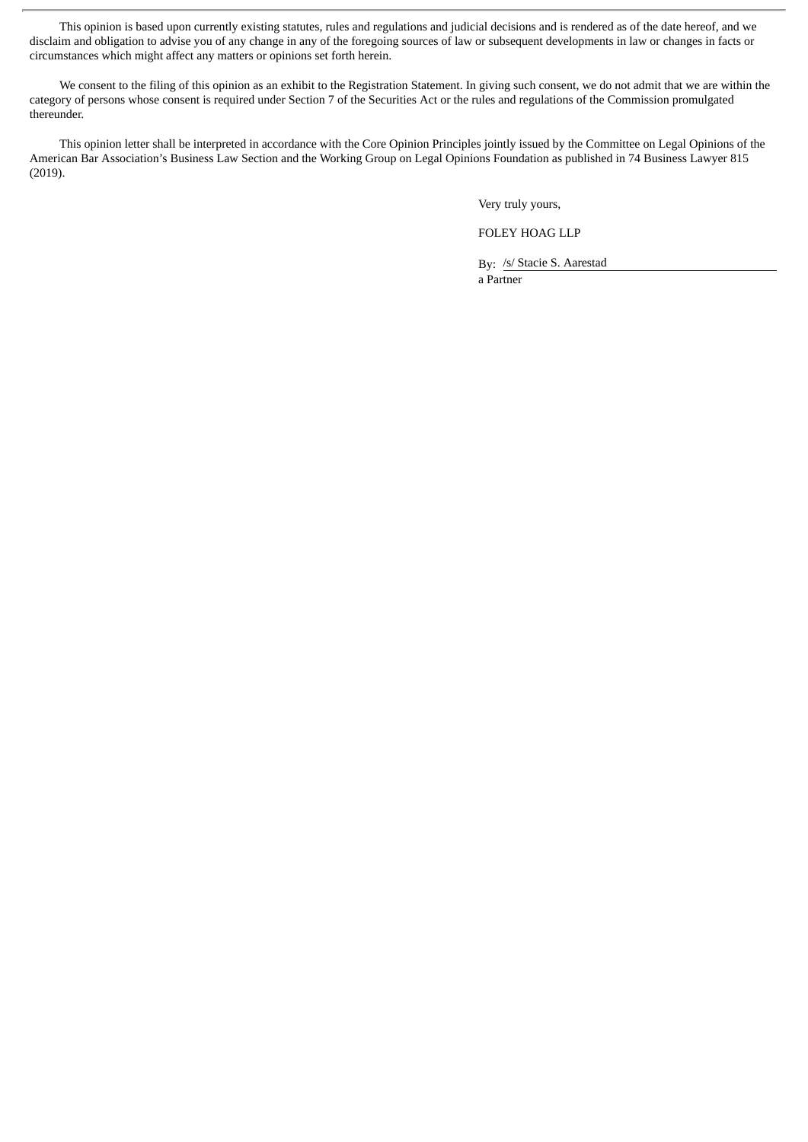This opinion is based upon currently existing statutes, rules and regulations and judicial decisions and is rendered as of the date hereof, and we disclaim and obligation to advise you of any change in any of the foregoing sources of law or subsequent developments in law or changes in facts or circumstances which might affect any matters or opinions set forth herein.

We consent to the filing of this opinion as an exhibit to the Registration Statement. In giving such consent, we do not admit that we are within the category of persons whose consent is required under Section 7 of the Securities Act or the rules and regulations of the Commission promulgated thereunder.

This opinion letter shall be interpreted in accordance with the Core Opinion Principles jointly issued by the Committee on Legal Opinions of the American Bar Association's Business Law Section and the Working Group on Legal Opinions Foundation as published in 74 Business Lawyer 815 (2019).

Very truly yours,

FOLEY HOAG LLP

By: /s/ Stacie S. Aarestad a Partner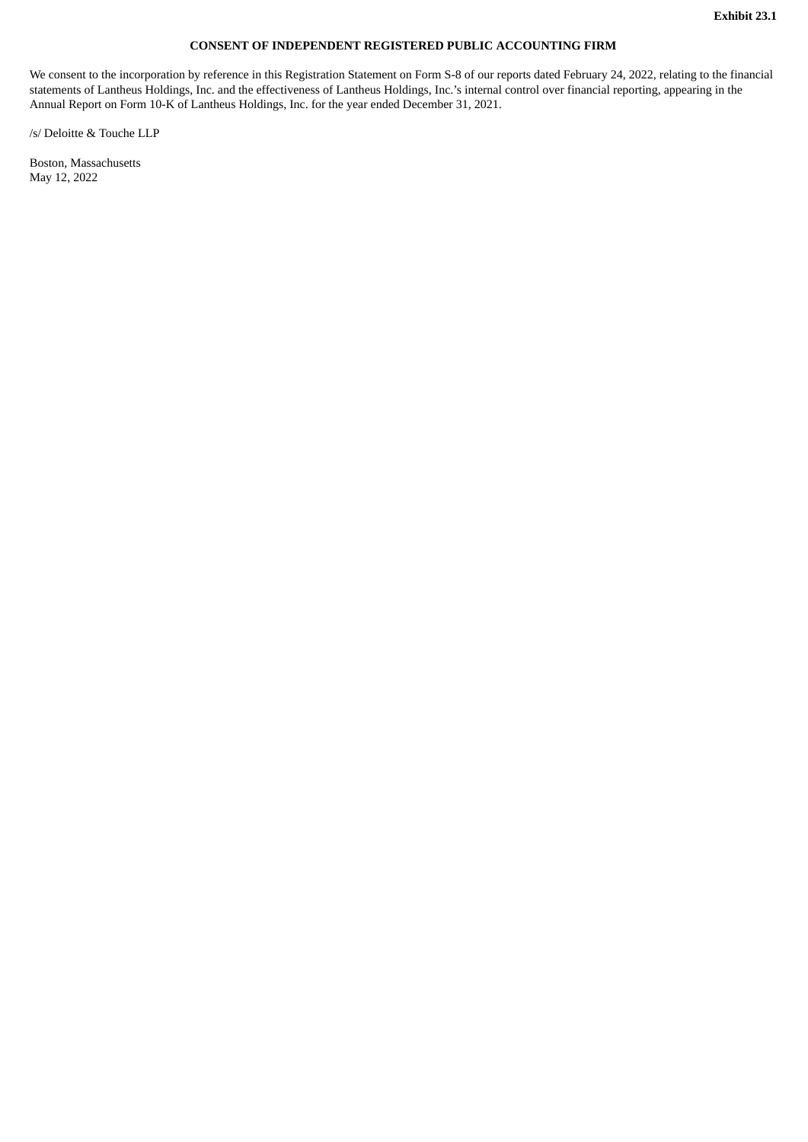#### **CONSENT OF INDEPENDENT REGISTERED PUBLIC ACCOUNTING FIRM**

<span id="page-5-0"></span>We consent to the incorporation by reference in this Registration Statement on Form S-8 of our reports dated February 24, 2022, relating to the financial statements of Lantheus Holdings, Inc. and the effectiveness of Lantheus Holdings, Inc.'s internal control over financial reporting, appearing in the Annual Report on Form 10-K of Lantheus Holdings, Inc. for the year ended December 31, 2021.

/s/ Deloitte & Touche LLP

Boston, Massachusetts May 12, 2022